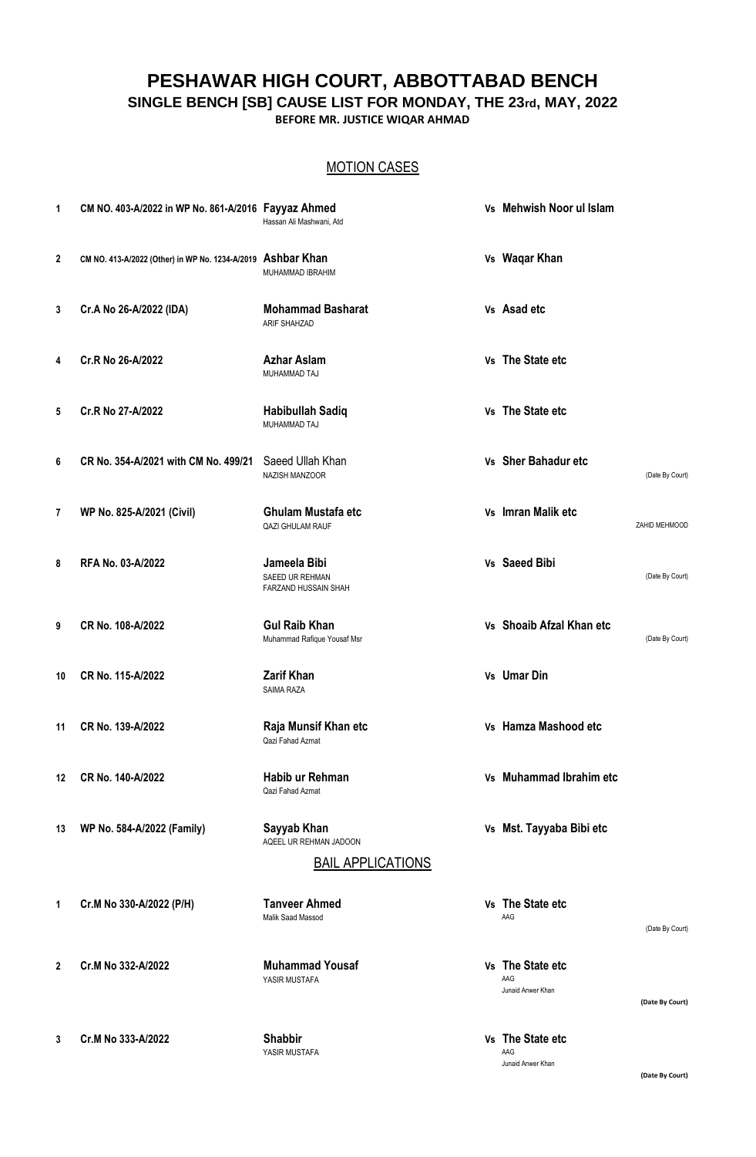# **PESHAWAR HIGH COURT, ABBOTTABAD BENCH SINGLE BENCH [SB] CAUSE LIST FOR MONDAY, THE 23rd, MAY, 2022**

**BEFORE MR. JUSTICE WIQAR AHMAD**

## MOTION CASES

| 1            | CM NO. 403-A/2022 in WP No. 861-A/2016 Fayyaz Ahmed         | Hassan Ali Mashwani, Atd                                | Vs Mehwish Noor ul Islam                     |                 |
|--------------|-------------------------------------------------------------|---------------------------------------------------------|----------------------------------------------|-----------------|
| $\mathbf{2}$ | CM NO. 413-A/2022 (Other) in WP No. 1234-A/2019 Ashbar Khan | MUHAMMAD IBRAHIM                                        | Vs Waqar Khan                                |                 |
| 3            | Cr.A No 26-A/2022 (IDA)                                     | <b>Mohammad Basharat</b><br>ARIF SHAHZAD                | Vs Asad etc                                  |                 |
| 4            | Cr.R No 26-A/2022                                           | <b>Azhar Aslam</b><br>MUHAMMAD TAJ                      | Vs The State etc                             |                 |
| 5            | Cr.R No 27-A/2022                                           | <b>Habibullah Sadiq</b><br>MUHAMMAD TAJ                 | Vs The State etc                             |                 |
| 6            | CR No. 354-A/2021 with CM No. 499/21                        | Saeed Ullah Khan<br>NAZISH MANZOOR                      | Vs Sher Bahadur etc                          | (Date By Court) |
| 7            | WP No. 825-A/2021 (Civil)                                   | <b>Ghulam Mustafa etc</b><br><b>QAZI GHULAM RAUF</b>    | Vs Imran Malik etc                           | ZAHID MEHMOOD   |
| 8            | RFA No. 03-A/2022                                           | Jameela Bibi<br>SAEED UR REHMAN<br>FARZAND HUSSAIN SHAH | Vs Saeed Bibi                                | (Date By Court) |
| 9            | CR No. 108-A/2022                                           | <b>Gul Raib Khan</b><br>Muhammad Rafique Yousaf Msr     | Vs Shoaib Afzal Khan etc                     | (Date By Court) |
| 10           | CR No. 115-A/2022                                           | <b>Zarif Khan</b><br><b>SAIMA RAZA</b>                  | Vs Umar Din                                  |                 |
| 11           | CR No. 139-A/2022                                           | Raja Munsif Khan etc<br>Qazi Fahad Azmat                | Vs Hamza Mashood etc                         |                 |
| 12           | CR No. 140-A/2022                                           | Habib ur Rehman<br>Qazi Fahad Azmat                     | Vs Muhammad Ibrahim etc                      |                 |
| 13           | WP No. 584-A/2022 (Family)                                  | Sayyab Khan<br>AQEEL UR REHMAN JADOON                   | Vs Mst. Tayyaba Bibi etc                     |                 |
|              |                                                             | <b>BAIL APPLICATIONS</b>                                |                                              |                 |
| 1            | Cr.M No 330-A/2022 (P/H)                                    | <b>Tanveer Ahmed</b><br><b>Malik Saad Massod</b>        | Vs The State etc<br>AAG                      | (Date By Court) |
| $\mathbf{2}$ | Cr.M No 332-A/2022                                          | <b>Muhammad Yousaf</b><br>YASIR MUSTAFA                 | Vs The State etc<br>AAG<br>Junaid Anwer Khan | (Date By Court) |
| 3            | Cr.M No 333-A/2022                                          | <b>Shabbir</b>                                          | Vs The State etc                             |                 |

YASIR MUSTAFA AAG

**(Date By Court)**

Junaid Anwer Khan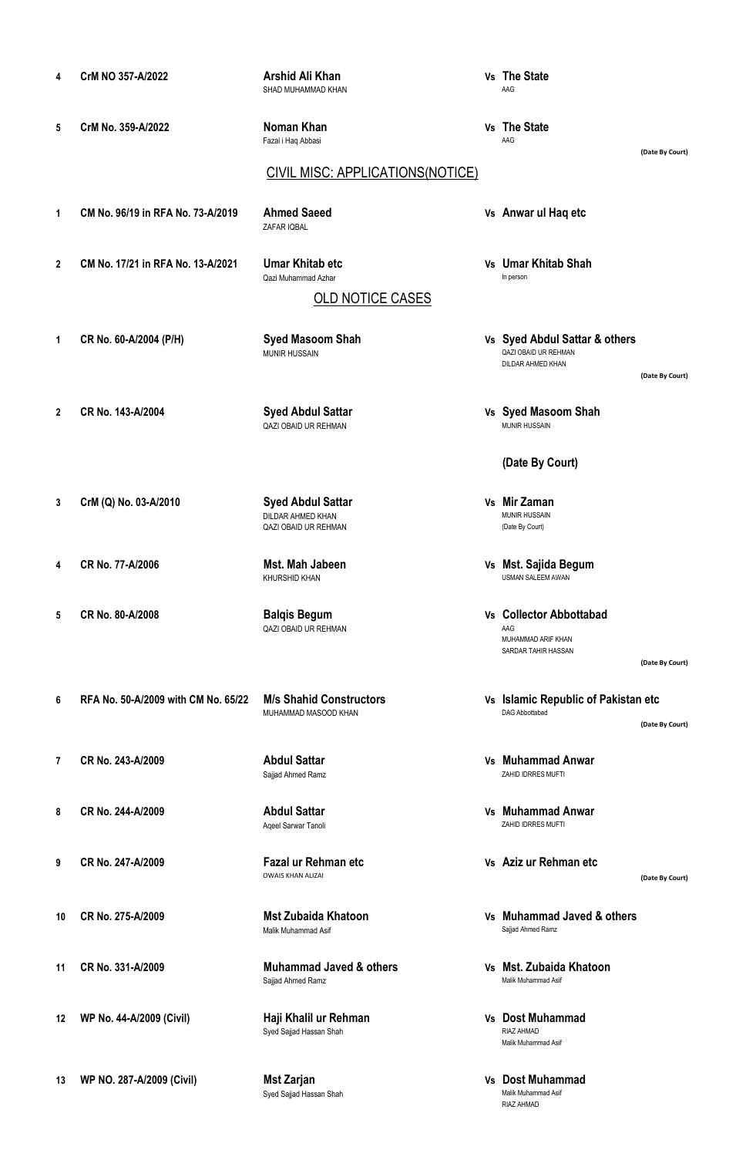| 4  | CrM NO 357-A/2022                   | Arshid Ali Khan<br>SHAD MUHAMMAD KHAN                                        | Vs The State<br>AAG                                                         |                 |
|----|-------------------------------------|------------------------------------------------------------------------------|-----------------------------------------------------------------------------|-----------------|
| 5  | CrM No. 359-A/2022                  | Noman Khan<br>Fazal i Haq Abbasi                                             | Vs The State<br>AAG                                                         | (Date By Court) |
|    |                                     | <b>CIVIL MISC: APPLICATIONS(NOTICE)</b>                                      |                                                                             |                 |
| 1  | CM No. 96/19 in RFA No. 73-A/2019   | <b>Ahmed Saeed</b><br>ZAFAR IQBAL                                            | Vs Anwar ul Haq etc                                                         |                 |
| 2  | CM No. 17/21 in RFA No. 13-A/2021   | <b>Umar Khitab etc</b><br>Qazi Muhammad Azhar                                | Vs Umar Khitab Shah<br>In person                                            |                 |
|    |                                     | <b>OLD NOTICE CASES</b>                                                      |                                                                             |                 |
| 1  | CR No. 60-A/2004 (P/H)              | <b>Syed Masoom Shah</b><br><b>MUNIR HUSSAIN</b>                              | Vs Syed Abdul Sattar & others<br>QAZI OBAID UR REHMAN<br>DILDAR AHMED KHAN  | (Date By Court) |
| 2  | CR No. 143-A/2004                   | <b>Syed Abdul Sattar</b><br><b>QAZI OBAID UR REHMAN</b>                      | Vs Syed Masoom Shah<br><b>MUNIR HUSSAIN</b>                                 |                 |
|    |                                     |                                                                              | (Date By Court)                                                             |                 |
| 3  | CrM (Q) No. 03-A/2010               | <b>Syed Abdul Sattar</b><br>DILDAR AHMED KHAN<br><b>QAZI OBAID UR REHMAN</b> | Vs Mir Zaman<br><b>MUNIR HUSSAIN</b><br>(Date By Court)                     |                 |
| 4  | CR No. 77-A/2006                    | Mst. Mah Jabeen<br><b>KHURSHID KHAN</b>                                      | Vs Mst. Sajida Begum<br><b>USMAN SALEEM AWAN</b>                            |                 |
| 5  | CR No. 80-A/2008                    | <b>Balqis Begum</b><br><b>QAZI OBAID UR REHMAN</b>                           | Vs Collector Abbottabad<br>AAG<br>MUHAMMAD ARIF KHAN<br>SARDAR TAHIR HASSAN |                 |
|    |                                     |                                                                              |                                                                             | (Date By Court) |
| 6  | RFA No. 50-A/2009 with CM No. 65/22 | <b>M/s Shahid Constructors</b><br>MUHAMMAD MASOOD KHAN                       | Vs Islamic Republic of Pakistan etc<br>DAG Abbottabad                       | (Date By Court) |
| 7  | CR No. 243-A/2009                   | <b>Abdul Sattar</b><br>Sajjad Ahmed Ramz                                     | Vs Muhammad Anwar<br>ZAHID IDRRES MUFTI                                     |                 |
| 8  | CR No. 244-A/2009                   | <b>Abdul Sattar</b><br>Aqeel Sarwar Tanoli                                   | Vs Muhammad Anwar<br>ZAHID IDRRES MUFTI                                     |                 |
| 9  | CR No. 247-A/2009                   | Fazal ur Rehman etc<br><b>OWAIS KHAN ALIZAI</b>                              | Vs Aziz ur Rehman etc                                                       | (Date By Court) |
| 10 | CR No. 275-A/2009                   | <b>Mst Zubaida Khatoon</b><br>Malik Muhammad Asif                            | Vs Muhammad Javed & others<br>Sajjad Ahmed Ramz                             |                 |
| 11 | CR No. 331-A/2009                   | <b>Muhammad Javed &amp; others</b><br>Sajjad Ahmed Ramz                      | Vs Mst. Zubaida Khatoon<br>Malik Muhammad Asif                              |                 |

**12 WP No. 44-A/2009 (Civil) Haji Khalil ur Rehman Vs Dost Muhammad Haji Khalil ur Rehman**<br>Syed Sajjad Hassan Shah

**EXAMPLE MATTELY**<br>RIAZ AHMAD<br>Malik Muhammad Asif

Malik Muhammad Asif<br>RIAZ AHMAD

**Mst Zarjan<br>Syed Sajjad Hassan Shah** 

**13 WP NO. 287-A/2009 (Civil) Mst Zarjan Vs Dost Muhammad**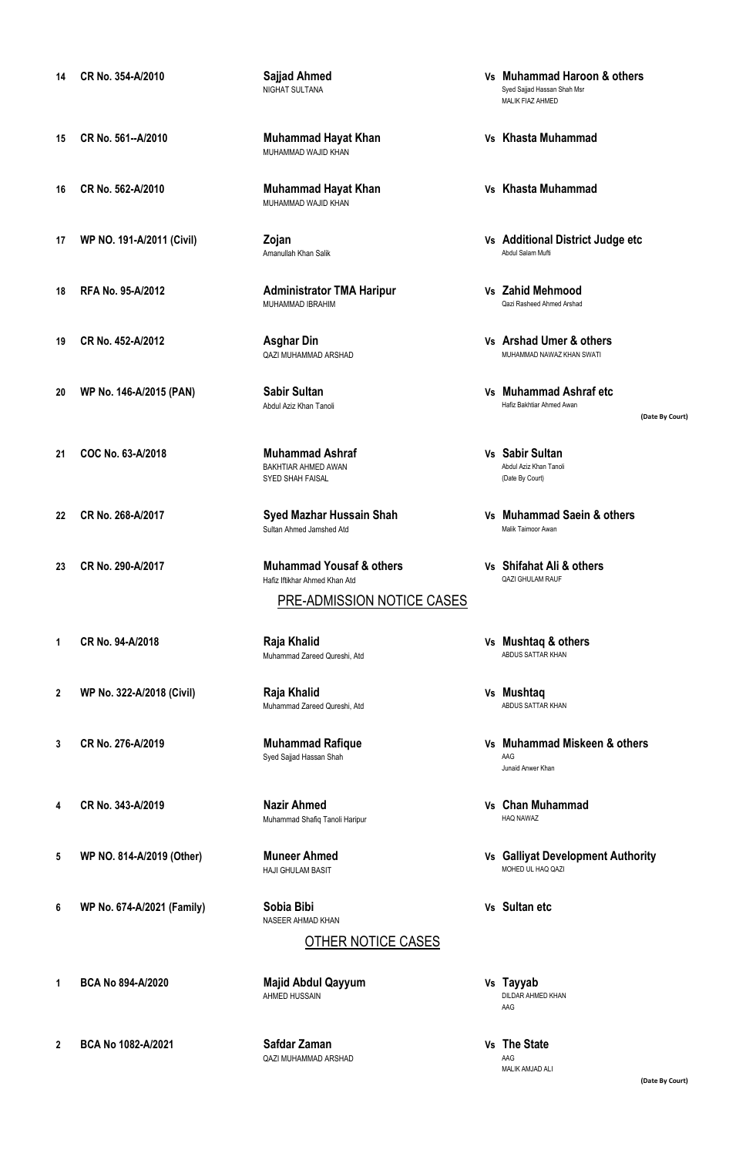- 
- 
- **16 CR No. 562-A/2010 Muhammad Hayat Khan Vs Khasta Muhammad**
- 
- 
- 
- 
- 
- 
- 
- 
- -
- 
- 
- 
- 
- **6 WP No. 674-A/2021 (Family) Sobia Bibi Vs Sultan etc**
- 
- **15 CR No. 561--A/2010 Muhammad Hayat Khan Vs Khasta Muhammad** MUHAMMAD WAJID KHAN
	- MUHAMMAD WAJID KHAN
	- Amanullah Khan Salik
- **18 RFA No. 95-A/2012 Administrator TMA Haripur Vs Zahid Mehmood** MUHAMMAD IBRAHIM Qazi Rasheed Ahmed Arshad
	- QAZI MUHAMMAD ARSHAD
	-
- **21 COC No. 63-A/2018 Muhammad Ashraf Vs Sabir Sultan** BAKHTIAR AHMED AWAN Abdul Aziz Khan Tanoli SYED SHAH FAISAL
	- Sultan Ahmed Jamshed Atd
- **23 CR No. 290-A/2017 Muhammad Yousaf & others Vs Shifahat Ali & others** Hafiz Iftikhar Ahmed Khan Atd
	- PRE-ADMISSION NOTICE CASES
- **1 CR No. 94-A/2018 Raja Khalid Vs Mushtaq & others** Muhammad Zareed Qureshi, Atd
- **2 WP No. 322-A/2018 (Civil) Raja Khalid Vs Mushtaq** Muhammad Zareed Qureshi, Atd
	- Syed Sajjad Hassan Shah AAG
- **4 CR No. 343-A/2019 Nazir Ahmed Vs Chan Muhammad** Muhammad Shafiq Tanoli Haripur
	- HAJI GHULAM BASIT
	- NASEER AHMAD KHAN
		- OTHER NOTICE CASES
- **1 BCA No 894-A/2020 Majid Abdul Qayyum Vs Tayyab**
- **2 BCA No 1082-A/2021 Safdar Zaman Vs** The State QAZI MUHAMMAD ARSHAD
- **14 CR No. 354-A/2010 Sajjad Ahmed Vs Muhammad Haroon & others** Syed Sajjad Hassan Shah Msr MALIK FIAZ AHMED
	-
	-
- **17 WP NO. 191-A/2011 (Civil) Zojan Vs Additional District Judge etc**
	-
- **19 CR No. 452-A/2012 Asghar Din Vs Arshad Umer & others**
- **20 WP No. 146-A/2015 (PAN) Sabir Sultan Vs Muhammad Ashraf etc** Hafiz Bakhtiar Ahmed Awan
- **(Date By Court)**
- 
- **22 CR No. 268-A/2017 Syed Mazhar Hussain Shah Vs Muhammad Saein & others**
	-
	-
	-
- **3 CR No. 276-A/2019 Muhammad Rafique Vs Muhammad Miskeen & others** Junaid Anwer Khan
	-
- **5 WP NO. 814-A/2019 (Other) Muneer Ahmed Vs Galliyat Development Authority**
	-
	- DILDAR AHMED KHAN AAG
	- MALIK AMJAD ALI
- 
-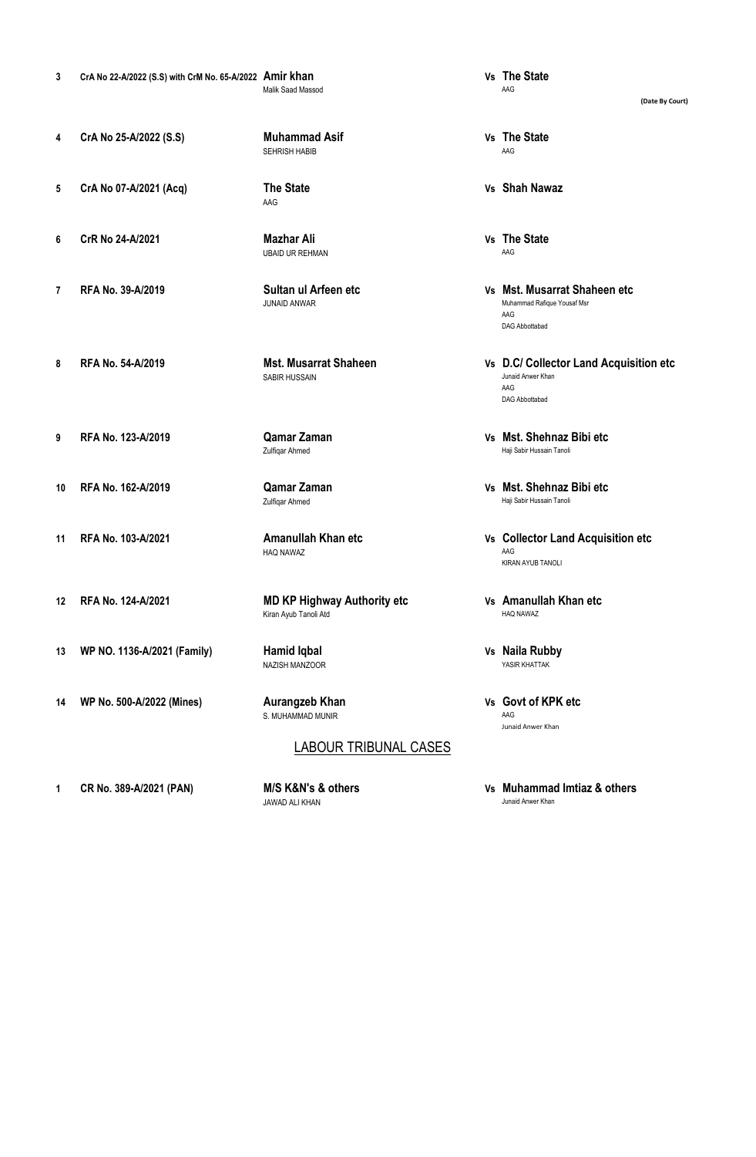- **3 CrA No 22-A/2022 (S.S) with CrM No. 65-A/2022 Amir khan Vs The State** Malik Saad Massod
- **4 CrA No 25-A/2022 (S.S) Muhammad Asif Vs The State**
- **5 CrA No 07-A/2021 (Acq) The State Vs Shah Nawaz**
- **6 CrR No 24-A/2021 Mazhar Ali Vs The State**
- 
- 
- AAG
- UBAID UR REHMAN AAG
- 
- 
- 
- 
- HAQ NAWAZ
- **12 RFA No. 124-A/2021 MD KP Highway Authority etc Vs Amanullah Khan etc** Kiran Ayub Tanoli Atd
	- NAZISH MANZOOR
	- S. MUHAMMAD MUNIR AAG
		- LABOUR TRIBUNAL CASES

JAWAD ALI KHAN Junaid Anwer Khan

- 
- SEHRISH HABIB AAG
	-
	-
- **7 RFA No. 39-A/2019 Sultan ul Arfeen etc Vs Mst. Musarrat Shaheen etc** JUNAID ANWAR Muhammad Rafique Yousaf Msr AAG DAG Abbottabad
- **8 RFA No. 54-A/2019 Mst. Musarrat Shaheen Vs D.C/ Collector Land Acquisition etc**<br>SARIR HUSSAIN Junaid Anwer Khan AAG DAG Abbottabad
- **9 RFA No. 123-A/2019 Qamar Zaman Vs Mst. Shehnaz Bibi etc** Zulfiqar Ahmed **Haji Sabir Hussain Tanoli**
- **10 RFA No. 162-A/2019 Qamar Zaman Vs Mst. Shehnaz Bibi etc Haji Sabir Hussain Tanoli**
- **11 RFA No. 103-A/2021 Amanullah Khan etc Vs Collector Land Acquisition etc** KIRAN AYUB TANOLI
	-
- **13 WP NO. 1136-A/2021 (Family) Hamid Iqbal Vs Naila Rubby**
- **14 WP No. 500-A/2022 (Mines) Aurangzeb Khan Vs Govt of KPK etc** Junaid Anwer Khan
- **1 CR No. 389-A/2021 (PAN) M/S K&N's & others Vs Muhammad Imtiaz & others**

**(Date By Court)**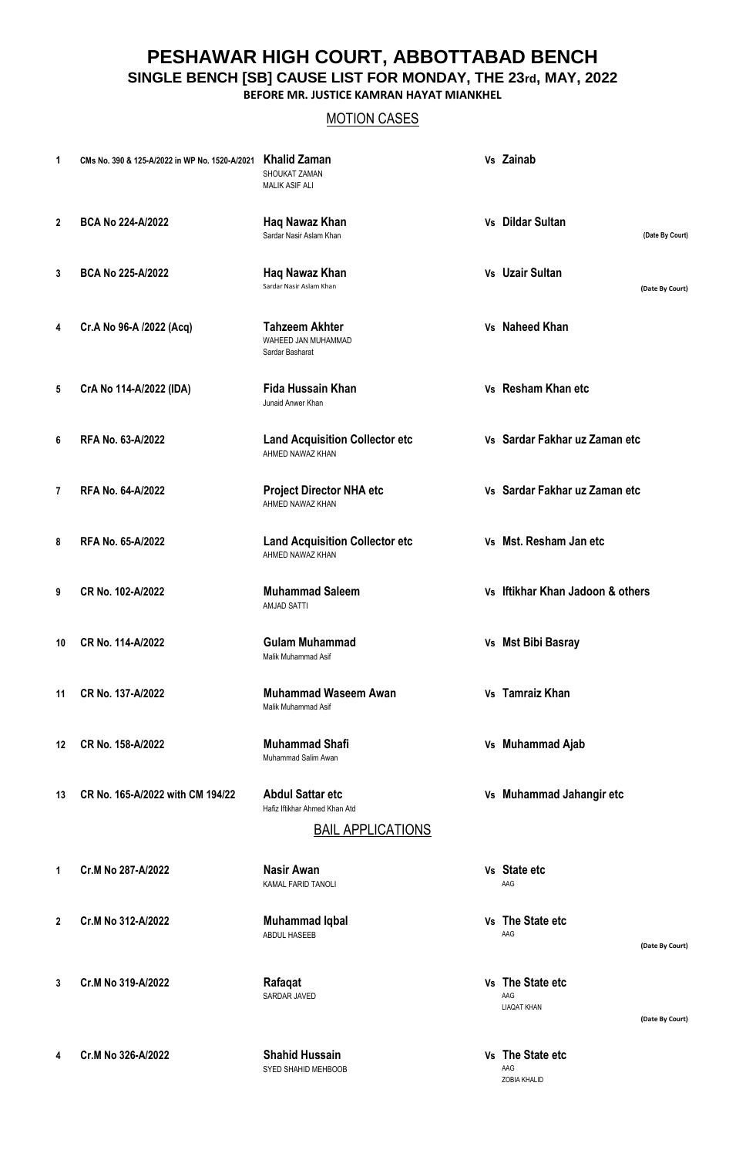**PESHAWAR HIGH COURT, ABBOTTABAD BENCH**

**SINGLE BENCH [SB] CAUSE LIST FOR MONDAY, THE 23rd, MAY, 2022**

**BEFORE MR. JUSTICE KAMRAN HAYAT MIANKHEL**

## MOTION CASES

| 1  | CMs No. 390 & 125-A/2022 in WP No. 1520-A/2021 | <b>Khalid Zaman</b><br>SHOUKAT ZAMAN<br><b>MALIK ASIF ALI</b>                        | Vs Zainab                                                        |
|----|------------------------------------------------|--------------------------------------------------------------------------------------|------------------------------------------------------------------|
| 2  | BCA No 224-A/2022                              | Haq Nawaz Khan<br>Sardar Nasir Aslam Khan                                            | Vs Dildar Sultan<br>(Date By Court)                              |
| 3  | <b>BCA No 225-A/2022</b>                       | Haq Nawaz Khan<br>Sardar Nasir Aslam Khan                                            | Vs Uzair Sultan<br>(Date By Court)                               |
| 4  | Cr.A No 96-A /2022 (Acq)                       | <b>Tahzeem Akhter</b><br>WAHEED JAN MUHAMMAD<br>Sardar Basharat                      | Vs Naheed Khan                                                   |
| 5  | CrA No 114-A/2022 (IDA)                        | <b>Fida Hussain Khan</b><br>Junaid Anwer Khan                                        | Vs Resham Khan etc                                               |
| 6  | RFA No. 63-A/2022                              | <b>Land Acquisition Collector etc</b><br>AHMED NAWAZ KHAN                            | Vs Sardar Fakhar uz Zaman etc                                    |
| 7  | RFA No. 64-A/2022                              | <b>Project Director NHA etc</b><br>AHMED NAWAZ KHAN                                  | Vs Sardar Fakhar uz Zaman etc                                    |
| 8  | RFA No. 65-A/2022                              | <b>Land Acquisition Collector etc</b><br>AHMED NAWAZ KHAN                            | Vs Mst. Resham Jan etc                                           |
| 9  | CR No. 102-A/2022                              | <b>Muhammad Saleem</b><br><b>AMJAD SATTI</b>                                         | Vs Iftikhar Khan Jadoon & others                                 |
| 10 | CR No. 114-A/2022                              | <b>Gulam Muhammad</b><br>Malik Muhammad Asif                                         | Vs Mst Bibi Basray                                               |
| 11 | CR No. 137-A/2022                              | <b>Muhammad Waseem Awan</b><br>Malik Muhammad Asif                                   | Vs Tamraiz Khan                                                  |
| 12 | CR No. 158-A/2022                              | <b>Muhammad Shafi</b><br>Muhammad Salim Awan                                         | Vs Muhammad Ajab                                                 |
| 13 | CR No. 165-A/2022 with CM 194/22               | <b>Abdul Sattar etc</b><br>Hafiz Iftikhar Ahmed Khan Atd<br><b>BAIL APPLICATIONS</b> | Vs Muhammad Jahangir etc                                         |
| 1. | Cr.M No 287-A/2022                             | <b>Nasir Awan</b><br>KAMAL FARID TANOLI                                              | Vs State etc<br>AAG                                              |
| 2  | Cr.M No 312-A/2022                             | <b>Muhammad Iqbal</b><br>ABDUL HASEEB                                                | Vs The State etc<br>AAG<br>(Date By Court)                       |
| 3  | Cr.M No 319-A/2022                             | Rafaqat<br>SARDAR JAVED                                                              | Vs The State etc<br>AAG<br><b>LIAQAT KHAN</b><br>(Date By Court) |

**4 Cr.M No 326-A/2022 Shahid Hussain Vs The State etc** SYED SHAHID MEHBOOB

AAG<br>ZOBIA KHALID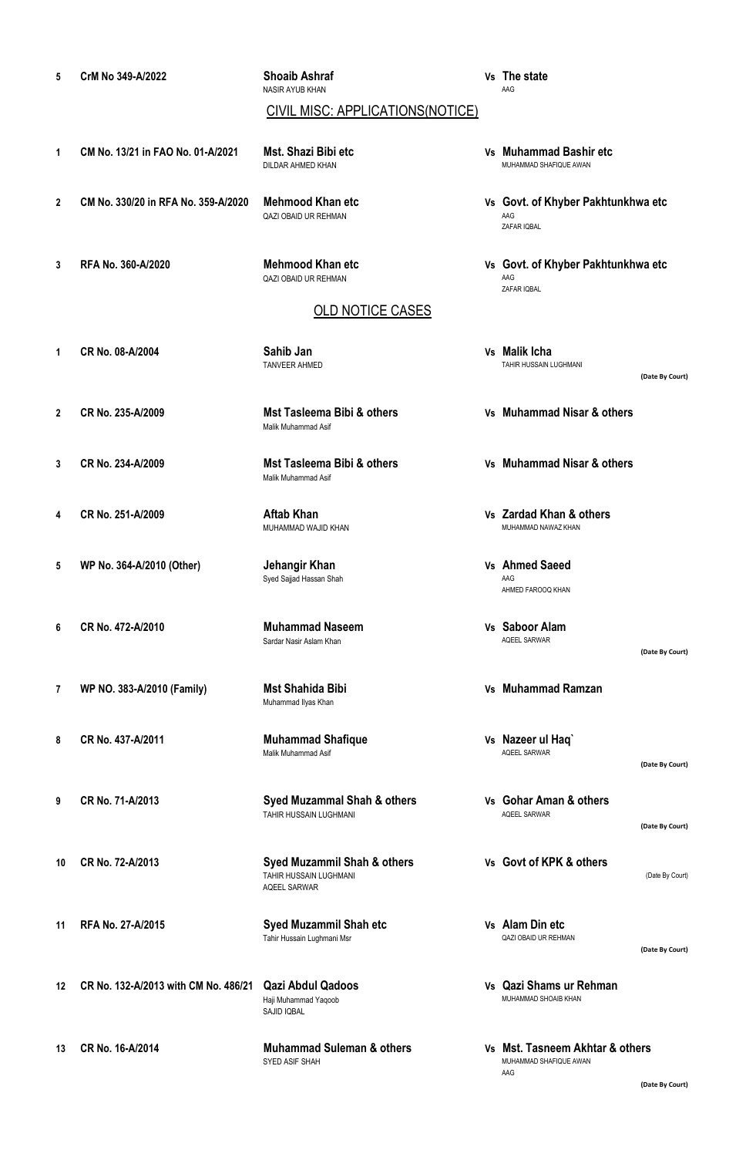- **2 CM No. 330/20 in RFA No. 359-A/2020 Mehmood Khan etc Vs Govt. of Khyber Pakhtunkhwa etc** QAZI OBAID UR REHMAN AAG ZAFAR IQBAL **3 RFA No. 360-A/2020 Mehmood Khan etc Vs Govt. of Khyber Pakhtunkhwa etc** ZAFAR IQBAL **1 CR No. 08-A/2004 Sahib Jan Vs Malik Icha (Date By Court) 2 CR No. 235-A/2009 Mst Tasleema Bibi & others Vs Muhammad Nisar & others 3 CR No. 234-A/2009 Mst Tasleema Bibi & others Vs Muhammad Nisar & others 4 CR No. 251-A/2009 Aftab Khan Vs Zardad Khan & others** MUHAMMAD WAJID KHAN MUHAMMAD NAWAZ KHAN **5 WP No. 364-A/2010 (Other) Jehangir Khan Vs Ahmed Saeed** Syed Sajjad Hassan Shah AAG AHMED FAROOQ KHAN **6 CR No. 472-A/2010 Muhammad Naseem Vs Saboor Alam (Date By Court) 7 WP NO. 383-A/2010 (Family) Mst Shahida Bibi Vs Muhammad Ramzan 8 CR No. 437-A/2011 Muhammad Shafique Vs Nazeer ul Haq` (Date By Court) 9 CR No. 71-A/2013 Syed Muzammal Shah & others Vs Gohar Aman & others (Date By Court) 10 CR No. 72-A/2013 Syed Muzammil Shah & others Vs Govt of KPK & others** TAHIR HUSSAIN LUGHMANI **TAHIR HUSSAIN LUGHMANI** (Date By Court) **11 RFA No. 27-A/2015 Syed Muzammil Shah etc Vs Alam Din etc (Date By Court)**
- **13 CR No. 16-A/2014 Muhammad Suleman & others Vs Mst. Tasneem Akhtar & others** MUHAMMAD SHAFIQUE AWAN AAG

DILDAR AHMED KHAN MUHAMMAD SHAFIQUE AWAN

TAHIR HUSSAIN LUGHMANI

Tahir Hussain Lughmani Msr

Haji Muhammad Yaqoob SAJID IQBAL

QAZI OBAID UR REHMAN AAG

NASIR AYUB KHAN

#### OLD NOTICE CASES

CIVIL MISC: APPLICATIONS(NOTICE)

- 
- 

**12 CR No. 132-A/2013 with CM No. 486/21 Qazi Abdul Qadoos Vs Qazi Shams ur Rehman**

Malik Muhammad Asif

TANVEER AHMED

Malik Muhammad Asif

Sardar Nasir Aslam Khan

Muhammad Ilyas Khan

Malik Muhammad Asif

AQEEL SARWAR

**5 CrM No 349-A/2022 Shoaib Ashraf Vs The state**

**1 CM No. 13/21 in FAO No. 01-A/2021 Mst. Shazi Bibi etc Vs Muhammad Bashir etc**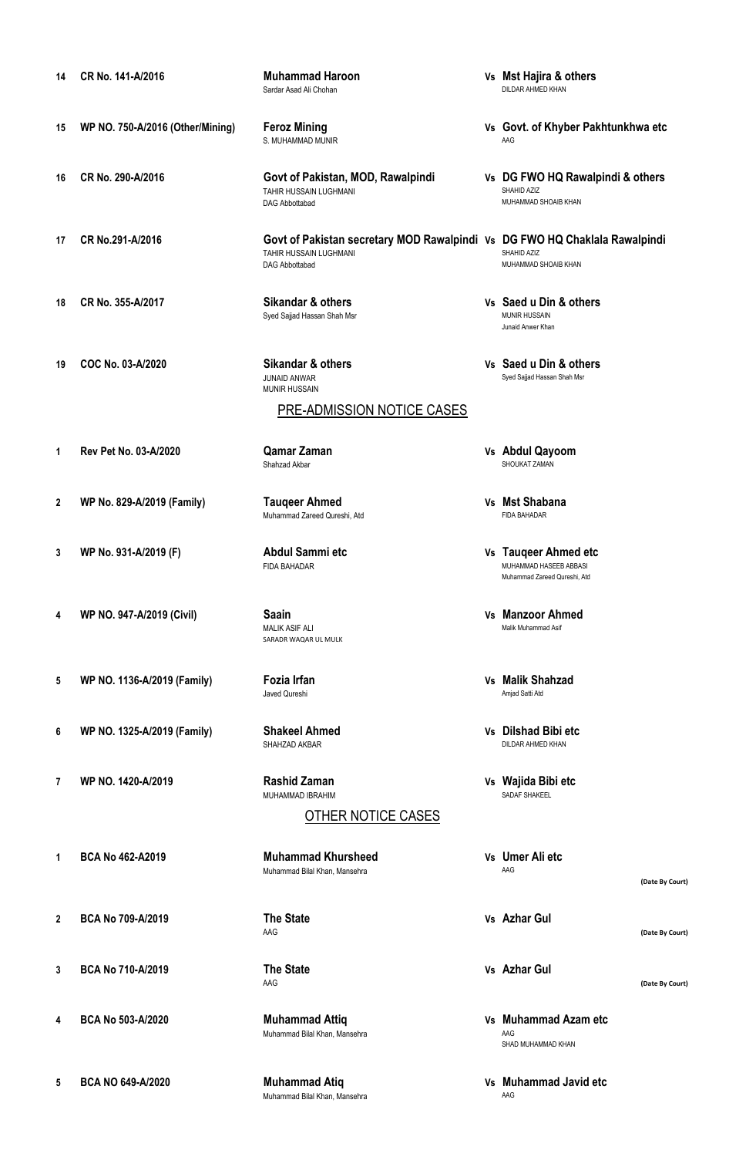**14 CR No. 141-A/2016 Muhammad Haroon Vs Mst Hajira & others** Sardar Asad Ali Chohan **15 WP NO. 750-A/2016 (Other/Mining) Feroz Mining Vs Govt. of Khyber Pakhtunkhwa etc** S. MUHAMMAD MUNIR **16 CR No. 290-A/2016 Govt of Pakistan, MOD, Rawalpindi Vs DG FWO HQ Rawalpindi & others** TAHIR HUSSAIN LUGHMANI<br>DAG Abbottabad MUHAMMAD SHOAIB KHAN **17 CR No.291-A/2016 Govt of Pakistan secretary MOD Rawalpindi Vs DG FWO HQ Chaklala Rawalpindi** TAHIR HUSSAIN LUGHMANI<br>DAG Abbottabad MUHAMMAD SHOAIB KHAN **18 CR No. 355-A/2017 Sikandar & others Vs Saed u Din & others** Syed Sajjad Hassan Shah Msr Junaid Anwer Khan **19 COC No. 03-A/2020 Sikandar & others Vs Saed u Din & others** JUNAID ANWAR Syed Sajjad Hassan Shah Msr MUNIR HUSSAIN **1 Rev Pet No. 03-A/2020 Qamar Zaman Vs Abdul Qayoom** SHOUKAT ZAMAN **2 WP No. 829-A/2019 (Family) Tauqeer Ahmed Vs Mst Shabana** Muhammad Zareed Qureshi, Atd **3 WP No. 931-A/2019 (F) Abdul Sammi etc Vs Tauqeer Ahmed etc** FIDA BAHADAR MUHAMMAD HASEEB ABBASI Muhammad Zareed Qureshi, Atd **4 WP NO. 947-A/2019 (Civil) Saain Vs Manzoor Ahmed** MALIK ASIF ALI SARADR WAQAR UL MULK **5 WP NO. 1136-A/2019 (Family) Fozia Irfan Vs Malik Shahzad** Javed Qureshi Amjad Satti Atd **6 WP NO. 1325-A/2019 (Family) Shakeel Ahmed Vs Dilshad Bibi etc** SHAHZAD AKBAR **7 WP NO. 1420-A/2019 Rashid Zaman Vs Wajida Bibi etc** MUHAMMAD IBRAHIM **1 BCA No 462-A2019 Muhammad Khursheed Vs Umer Ali etc** Muhammad Bilal Khan, Mansehra AAG OTHER NOTICE CASES PRE-ADMISSION NOTICE CASES

- 
- 

AAG **(Date By Court)**

**3 BCA No 710-A/2019 The State Vs Azhar Gul**

AAG **(Date By Court)**

**4 BCA No 503-A/2020 Muhammad Attiq Vs Muhammad Azam etc** Muhammad Bilal Khan, Mansehra AAG SHAD MUHAMMAD KHAN

#### **5 BCA NO 649-A/2020 Muhammad Atiq Vs Muhammad Javid etc**

Muhammad Bilal Khan, Mansehra AG

- 
- 
- 

**(Date By Court)**

**2 BCA No 709-A/2019 The State Vs Azhar Gul**